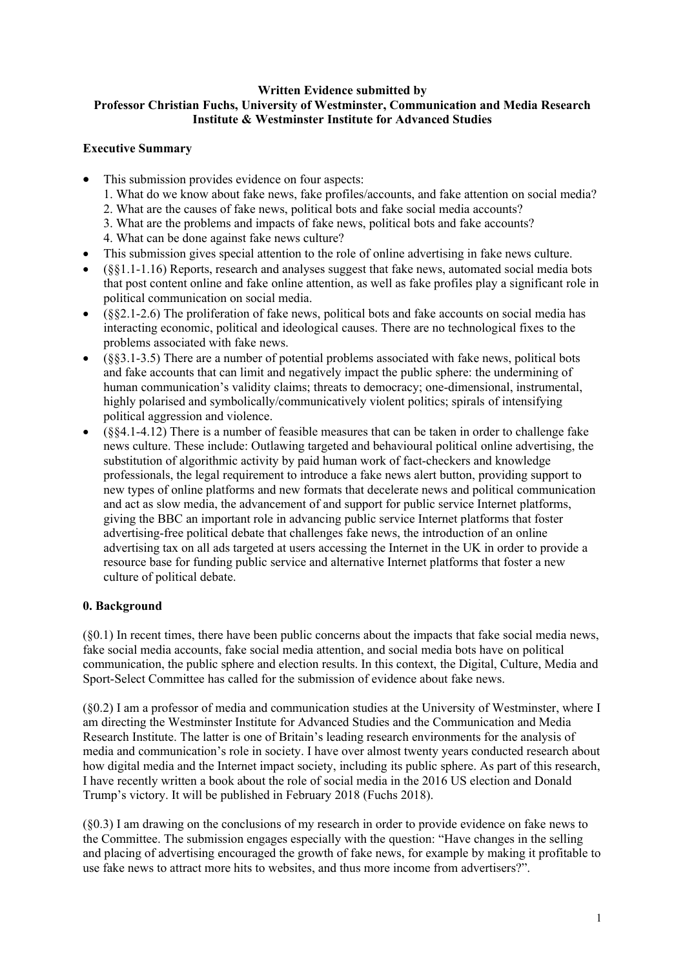#### **Written Evidence submitted by Professor Christian Fuchs, University of Westminster, Communication and Media Research Institute & Westminster Institute for Advanced Studies**

# **Executive Summary**

- This submission provides evidence on four aspects:
	- 1. What do we know about fake news, fake profiles/accounts, and fake attention on social media?
	- 2. What are the causes of fake news, political bots and fake social media accounts?
	- 3. What are the problems and impacts of fake news, political bots and fake accounts?
	- 4. What can be done against fake news culture?
- This submission gives special attention to the role of online advertising in fake news culture.
- (§§1.1-1.16) Reports, research and analyses suggest that fake news, automated social media bots that post content online and fake online attention, as well as fake profiles play a significant role in political communication on social media.
- (§§2.1-2.6) The proliferation of fake news, political bots and fake accounts on social media has interacting economic, political and ideological causes. There are no technological fixes to the problems associated with fake news.
- (§§3.1-3.5) There are a number of potential problems associated with fake news, political bots and fake accounts that can limit and negatively impact the public sphere: the undermining of human communication's validity claims; threats to democracy; one-dimensional, instrumental, highly polarised and symbolically/communicatively violent politics; spirals of intensifying political aggression and violence.
- (§§4.1-4.12) There is a number of feasible measures that can be taken in order to challenge fake news culture. These include: Outlawing targeted and behavioural political online advertising, the substitution of algorithmic activity by paid human work of fact-checkers and knowledge professionals, the legal requirement to introduce a fake news alert button, providing support to new types of online platforms and new formats that decelerate news and political communication and act as slow media, the advancement of and support for public service Internet platforms, giving the BBC an important role in advancing public service Internet platforms that foster advertising-free political debate that challenges fake news, the introduction of an online advertising tax on all ads targeted at users accessing the Internet in the UK in order to provide a resource base for funding public service and alternative Internet platforms that foster a new culture of political debate.

# **0. Background**

(§0.1) In recent times, there have been public concerns about the impacts that fake social media news, fake social media accounts, fake social media attention, and social media bots have on political communication, the public sphere and election results. In this context, the Digital, Culture, Media and Sport-Select Committee has called for the submission of evidence about fake news.

(§0.2) I am a professor of media and communication studies at the University of Westminster, where I am directing the Westminster Institute for Advanced Studies and the Communication and Media Research Institute. The latter is one of Britain's leading research environments for the analysis of media and communication's role in society. I have over almost twenty years conducted research about how digital media and the Internet impact society, including its public sphere. As part of this research, I have recently written a book about the role of social media in the 2016 US election and Donald Trump's victory. It will be published in February 2018 (Fuchs 2018).

(§0.3) I am drawing on the conclusions of my research in order to provide evidence on fake news to the Committee. The submission engages especially with the question: "Have changes in the selling and placing of advertising encouraged the growth of fake news, for example by making it profitable to use fake news to attract more hits to websites, and thus more income from advertisers?".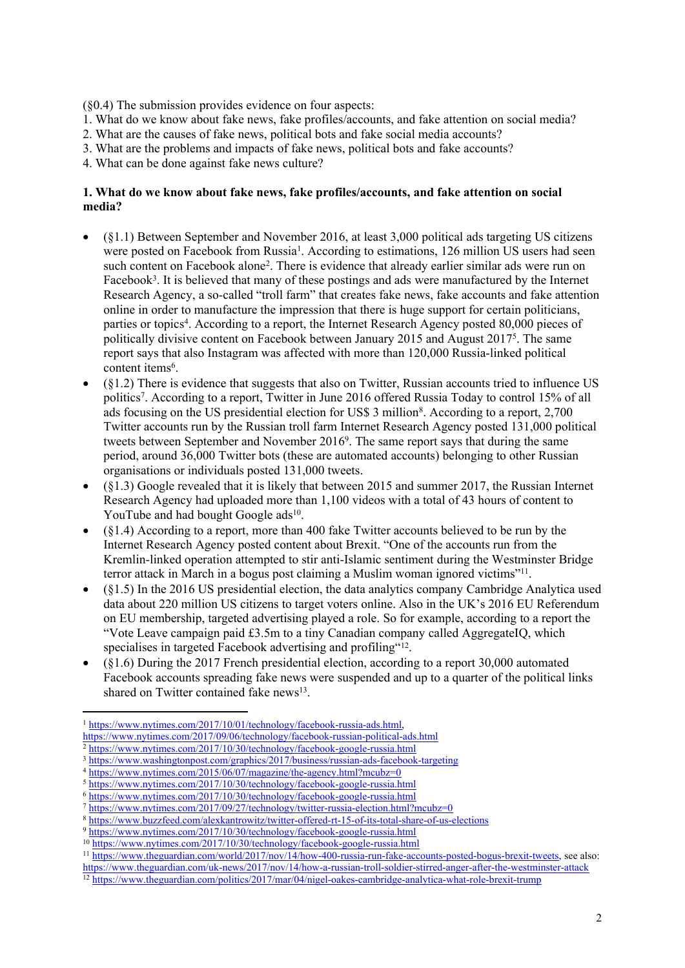(§0.4) The submission provides evidence on four aspects:

- 1. What do we know about fake news, fake profiles/accounts, and fake attention on social media?
- 2. What are the causes of fake news, political bots and fake social media accounts?
- 3. What are the problems and impacts of fake news, political bots and fake accounts?
- 4. What can be done against fake news culture?

#### **1. What do we know about fake news, fake profiles/accounts, and fake attention on social media?**

- (§1.1) Between September and November 2016, at least 3,000 political ads targeting US citizens were posted on Facebook from Russia<sup>1</sup>. According to estimations, 126 million US users had seen such content on Facebook alone<sup>2</sup>. There is evidence that already earlier similar ads were run on Facebook<sup>3</sup>. It is believed that many of these postings and ads were manufactured by the Internet Research Agency, a so-called "troll farm" that creates fake news, fake accounts and fake attention online in order to manufacture the impression that there is huge support for certain politicians, parties or topics<sup>4</sup>. According to a report, the Internet Research Agency posted 80,000 pieces of politically divisive content on Facebook between January 2015 and August 2017<sup>5</sup>. The same report says that also Instagram was affected with more than 120,000 Russia-linked political content items<sup>6</sup>.
- (§1.2) There is evidence that suggests that also on Twitter, Russian accounts tried to influence US politics<sup>7</sup>. According to a report, Twitter in June 2016 offered Russia Today to control 15% of all ads focusing on the US presidential election for US\$ 3 million<sup>8</sup>. According to a report, 2,700 Twitter accounts run by the Russian troll farm Internet Research Agency posted 131,000 political tweets between September and November 2016<sup>9</sup>. The same report says that during the same period, around 36,000 Twitter bots (these are automated accounts) belonging to other Russian organisations or individuals posted 131,000 tweets.
- (§1.3) Google revealed that it is likely that between 2015 and summer 2017, the Russian Internet Research Agency had uploaded more than 1,100 videos with a total of 43 hours of content to YouTube and had bought Google ads<sup>10</sup>.
- (§1.4) According to a report, more than 400 fake Twitter accounts believed to be run by the Internet Research Agency posted content about Brexit. "One of the accounts run from the Kremlin-linked operation attempted to stir anti-Islamic sentiment during the Westminster Bridge terror attack in March in a bogus post claiming a Muslim woman ignored victims"<sup>11</sup> .
- (§1.5) In the 2016 US presidential election, the data analytics company Cambridge Analytica used data about 220 million US citizens to target voters online. Also in the UK's 2016 EU Referendum on EU membership, targeted advertising played a role. So for example, according to a report the "Vote Leave campaign paid  $£3.5m$  to a tiny Canadian company called AggregateIQ, which specialises in targeted Facebook advertising and profiling"<sup>12</sup>.
- (§1.6) During the 2017 French presidential election, according to a report 30,000 automated Facebook accounts spreading fake news were suspended and up to a quarter of the political links shared on Twitter contained fake news<sup>13</sup>.

<sup>1</sup> <https://www.nytimes.com/2017/10/01/technology/facebook-russia-ads.html>, <https://www.nytimes.com/2017/09/06/technology/facebook-russian-political-ads.html>

<sup>&</sup>lt;sup>2</sup> <https://www.nytimes.com/2017/10/30/technology/facebook-google-russia.html>

<sup>3</sup> [https://www.washingtonpost.com/graphics/2017/business/russian-ads-facebook-targeting](https://www.washingtonpost.com/graphics/2017/business/russian-ads-facebook-targeting/?hpid=hp_hp-visual-stories-desktop_no-name%3Ahomepage%2Fstory&utm_term=.3799618deab6)

<sup>&</sup>lt;sup>4</sup> <https://www.nytimes.com/2015/06/07/magazine/the-agency.html?mcubz=0>

<sup>5</sup> <https://www.nytimes.com/2017/10/30/technology/facebook-google-russia.html>

<sup>6</sup> <https://www.nytimes.com/2017/10/30/technology/facebook-google-russia.html>

<sup>7</sup> <https://www.nytimes.com/2017/09/27/technology/twitter-russia-election.html?mcubz=0>

<sup>8</sup> <https://www.buzzfeed.com/alexkantrowitz/twitter-offered-rt-15-of-its-total-share-of-us-elections>

<sup>9</sup> <https://www.nytimes.com/2017/10/30/technology/facebook-google-russia.html>

<sup>10</sup> <https://www.nytimes.com/2017/10/30/technology/facebook-google-russia.html>

<sup>11</sup> [https://www.theguardian.com/world/2017/nov/14/how-400-russia-run-fake-accounts-posted-bogus-brexit-tweets,](https://www.theguardian.com/world/2017/nov/14/how-400-russia-run-fake-accounts-posted-bogus-brexit-tweets) see also:

<https://www.theguardian.com/uk-news/2017/nov/14/how-a-russian-troll-soldier-stirred-anger-after-the-westminster-attack>

<sup>&</sup>lt;sup>12</sup> <https://www.theguardian.com/politics/2017/mar/04/nigel-oakes-cambridge-analytica-what-role-brexit-trump>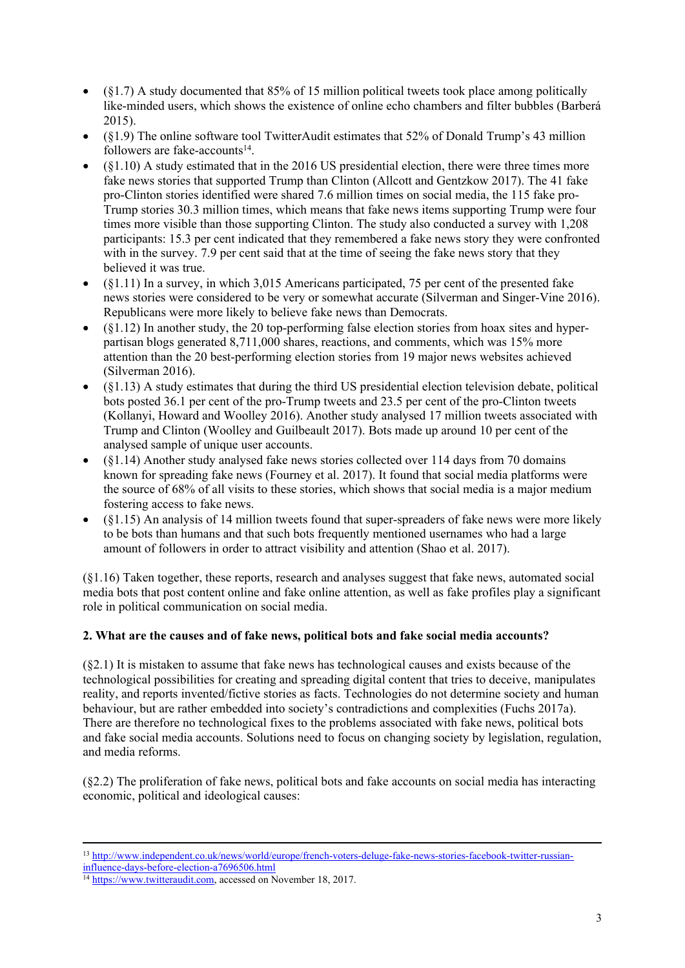- $\bullet$  (§1.7) A study documented that 85% of 15 million political tweets took place among politically like-minded users, which shows the existence of online echo chambers and filter bubbles (Barberá 2015).
- (§1.9) The online software tool TwitterAudit estimates that 52% of Donald Trump's 43 million followers are fake-accounts<sup>14</sup>.
- (§1.10) A study estimated that in the 2016 US presidential election, there were three times more fake news stories that supported Trump than Clinton (Allcott and Gentzkow 2017). The 41 fake pro-Clinton stories identified were shared 7.6 million times on social media, the 115 fake pro-Trump stories 30.3 million times, which means that fake news items supporting Trump were four times more visible than those supporting Clinton. The study also conducted a survey with 1,208 participants: 15.3 per cent indicated that they remembered a fake news story they were confronted with in the survey. 7.9 per cent said that at the time of seeing the fake news story that they believed it was true.
- (§1.11) In a survey, in which 3,015 Americans participated, 75 per cent of the presented fake news stories were considered to be very or somewhat accurate (Silverman and Singer-Vine 2016). Republicans were more likely to believe fake news than Democrats.
- $\bullet$  (§1.12) In another study, the 20 top-performing false election stories from hoax sites and hyperpartisan blogs generated 8,711,000 shares, reactions, and comments, which was 15% more attention than the 20 best-performing election stories from 19 major news websites achieved (Silverman 2016).
- (§1.13) A study estimates that during the third US presidential election television debate, political bots posted 36.1 per cent of the pro-Trump tweets and 23.5 per cent of the pro-Clinton tweets (Kollanyi, Howard and Woolley 2016). Another study analysed 17 million tweets associated with Trump and Clinton (Woolley and Guilbeault 2017). Bots made up around 10 per cent of the analysed sample of unique user accounts.
- (§1.14) Another study analysed fake news stories collected over 114 days from 70 domains known for spreading fake news (Fourney et al. 2017). It found that social media platforms were the source of 68% of all visits to these stories, which shows that social media is a major medium fostering access to fake news.
- (§1.15) An analysis of 14 million tweets found that super-spreaders of fake news were more likely to be bots than humans and that such bots frequently mentioned usernames who had a large amount of followers in order to attract visibility and attention (Shao et al. 2017).

(§1.16) Taken together, these reports, research and analyses suggest that fake news, automated social media bots that post content online and fake online attention, as well as fake profiles play a significant role in political communication on social media.

# **2. What are the causes and of fake news, political bots and fake social media accounts?**

(§2.1) It is mistaken to assume that fake news has technological causes and exists because of the technological possibilities for creating and spreading digital content that tries to deceive, manipulates reality, and reports invented/fictive stories as facts. Technologies do not determine society and human behaviour, but are rather embedded into society's contradictions and complexities (Fuchs 2017a). There are therefore no technological fixes to the problems associated with fake news, political bots and fake social media accounts. Solutions need to focus on changing society by legislation, regulation, and media reforms.

(§2.2) The proliferation of fake news, political bots and fake accounts on social media has interacting economic, political and ideological causes:

<sup>13</sup> [http://www.independent.co.uk/news/world/europe/french-voters-deluge-fake-news-stories-facebook-twitter-russian](http://www.independent.co.uk/news/world/europe/french-voters-deluge-fake-news-stories-facebook-twitter-russian-influence-days-before-election-a7696506.html)[influence-days-before-election-a7696506.html](http://www.independent.co.uk/news/world/europe/french-voters-deluge-fake-news-stories-facebook-twitter-russian-influence-days-before-election-a7696506.html)

 $\frac{14 \text{ https://www.twitteraudit.com. accessed on November 18, 2017.}}{14 \text{ https://www.twitteraudit.com. accessed on November 18, 2017.}}$  $\frac{14 \text{ https://www.twitteraudit.com. accessed on November 18, 2017.}}{14 \text{ https://www.twitteraudit.com. accessed on November 18, 2017.}}$  $\frac{14 \text{ https://www.twitteraudit.com. accessed on November 18, 2017.}}{14 \text{ https://www.twitteraudit.com. accessed on November 18, 2017.}}$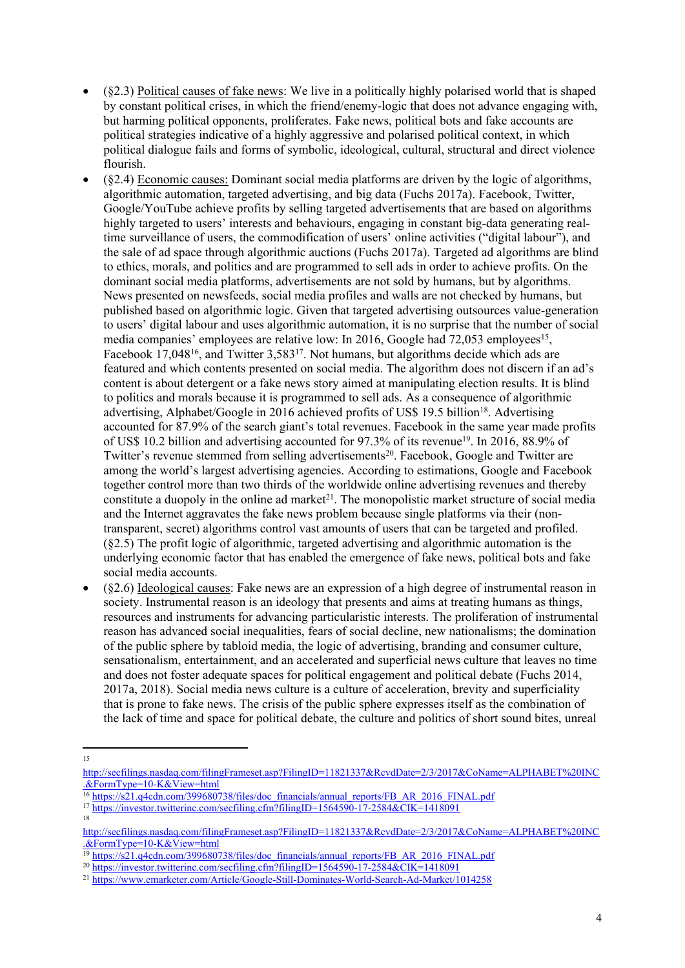- (§2.3) Political causes of fake news: We live in a politically highly polarised world that is shaped by constant political crises, in which the friend/enemy-logic that does not advance engaging with, but harming political opponents, proliferates. Fake news, political bots and fake accounts are political strategies indicative of a highly aggressive and polarised political context, in which political dialogue fails and forms of symbolic, ideological, cultural, structural and direct violence flourish.
- (§2.4) Economic causes: Dominant social media platforms are driven by the logic of algorithms, algorithmic automation, targeted advertising, and big data (Fuchs 2017a). Facebook, Twitter, Google/YouTube achieve profits by selling targeted advertisements that are based on algorithms highly targeted to users' interests and behaviours, engaging in constant big-data generating realtime surveillance of users, the commodification of users' online activities ("digital labour"), and the sale of ad space through algorithmic auctions (Fuchs 2017a). Targeted ad algorithms are blind to ethics, morals, and politics and are programmed to sell ads in order to achieve profits. On the dominant social media platforms, advertisements are not sold by humans, but by algorithms. News presented on newsfeeds, social media profiles and walls are not checked by humans, but published based on algorithmic logic. Given that targeted advertising outsources value-generation to users' digital labour and uses algorithmic automation, it is no surprise that the number of social media companies' employees are relative low: In 2016, Google had 72,053 employees<sup>15</sup>, Facebook 17,048<sup>16</sup>, and Twitter 3,583<sup>17</sup>. Not humans, but algorithms decide which ads are featured and which contents presented on social media. The algorithm does not discern if an ad's content is about detergent or a fake news story aimed at manipulating election results. It is blind to politics and morals because it is programmed to sell ads. As a consequence of algorithmic advertising, Alphabet/Google in 2016 achieved profits of US\$ 19.5 billion<sup>18</sup>. Advertising accounted for 87.9% of the search giant's total revenues. Facebook in the same year made profits of US\$ 10.2 billion and advertising accounted for 97.3% of its revenue<sup>19</sup>. In 2016, 88.9% of Twitter's revenue stemmed from selling advertisements<sup>20</sup>. Facebook, Google and Twitter are among the world's largest advertising agencies. According to estimations, Google and Facebook together control more than two thirds of the worldwide online advertising revenues and thereby constitute a duopoly in the online ad market<sup>21</sup>. The monopolistic market structure of social media and the Internet aggravates the fake news problem because single platforms via their (nontransparent, secret) algorithms control vast amounts of users that can be targeted and profiled. (§2.5) The profit logic of algorithmic, targeted advertising and algorithmic automation is the underlying economic factor that has enabled the emergence of fake news, political bots and fake social media accounts.
- (§2.6) Ideological causes: Fake news are an expression of a high degree of instrumental reason in society. Instrumental reason is an ideology that presents and aims at treating humans as things, resources and instruments for advancing particularistic interests. The proliferation of instrumental reason has advanced social inequalities, fears of social decline, new nationalisms; the domination of the public sphere by tabloid media, the logic of advertising, branding and consumer culture, sensationalism, entertainment, and an accelerated and superficial news culture that leaves no time and does not foster adequate spaces for political engagement and political debate (Fuchs 2014, 2017a, 2018). Social media news culture is a culture of acceleration, brevity and superficiality that is prone to fake news. The crisis of the public sphere expresses itself as the combination of the lack of time and space for political debate, the culture and politics of short sound bites, unreal

<sup>15</sup>

[http://secfilings.nasdaq.com/filingFrameset.asp?FilingID=11821337&RcvdDate=2/3/2017&CoName=ALPHABET%20INC](http://secfilings.nasdaq.com/filingFrameset.asp?FilingID=11821337&RcvdDate=2/3/2017&CoName=ALPHABET%20INC.&FormType=10-K&View=html) [.&FormType=10-K&View=html](http://secfilings.nasdaq.com/filingFrameset.asp?FilingID=11821337&RcvdDate=2/3/2017&CoName=ALPHABET%20INC.&FormType=10-K&View=html)

<sup>&</sup>lt;sup>16</sup> [https://s21.q4cdn.com/399680738/files/doc\\_financials/annual\\_reports/FB\\_AR\\_2016\\_FINAL.pdf](https://s21.q4cdn.com/399680738/files/doc_financials/annual_reports/FB_AR_2016_FINAL.pdf)

<sup>17</sup> <https://investor.twitterinc.com/secfiling.cfm?filingID=1564590-17-2584&CIK=1418091> 18

[http://secfilings.nasdaq.com/filingFrameset.asp?FilingID=11821337&RcvdDate=2/3/2017&CoName=ALPHABET%20INC](http://secfilings.nasdaq.com/filingFrameset.asp?FilingID=11821337&RcvdDate=2/3/2017&CoName=ALPHABET%20INC.&FormType=10-K&View=html) [.&FormType=10-K&View=html](http://secfilings.nasdaq.com/filingFrameset.asp?FilingID=11821337&RcvdDate=2/3/2017&CoName=ALPHABET%20INC.&FormType=10-K&View=html)

<sup>&</sup>lt;sup>19</sup> [https://s21.q4cdn.com/399680738/files/doc\\_financials/annual\\_reports/FB\\_AR\\_2016\\_FINAL.pdf](https://s21.q4cdn.com/399680738/files/doc_financials/annual_reports/FB_AR_2016_FINAL.pdf)

<sup>20</sup> <https://investor.twitterinc.com/secfiling.cfm?filingID=1564590-17-2584&CIK=1418091>

<sup>21</sup> <https://www.emarketer.com/Article/Google-Still-Dominates-World-Search-Ad-Market/1014258>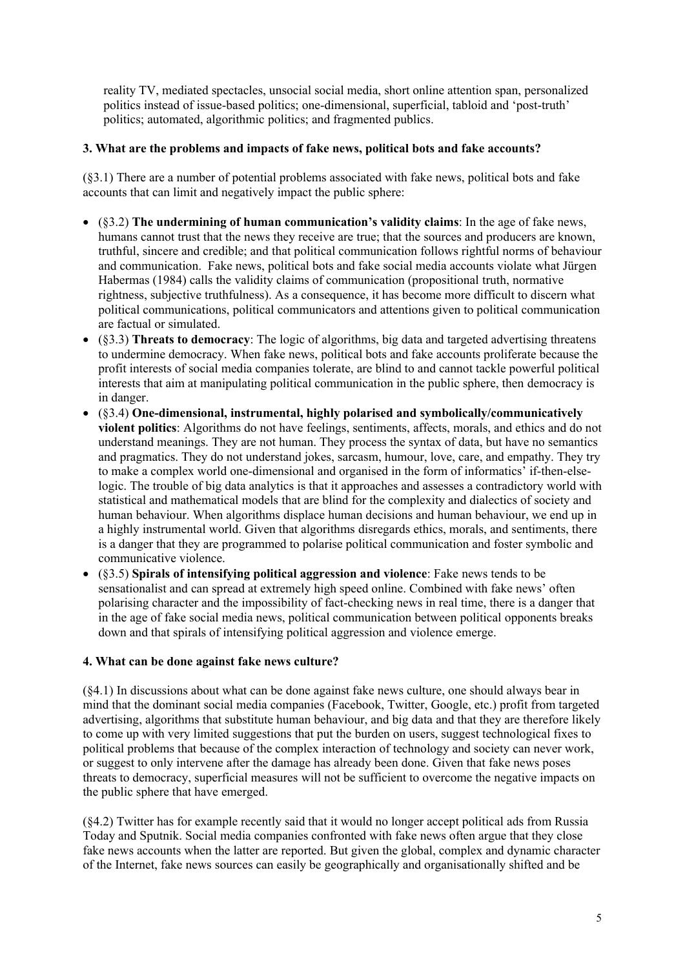reality TV, mediated spectacles, unsocial social media, short online attention span, personalized politics instead of issue-based politics; one-dimensional, superficial, tabloid and 'post-truth' politics; automated, algorithmic politics; and fragmented publics.

# **3. What are the problems and impacts of fake news, political bots and fake accounts?**

(§3.1) There are a number of potential problems associated with fake news, political bots and fake accounts that can limit and negatively impact the public sphere:

- (§3.2) **The undermining of human communication's validity claims**: In the age of fake news, humans cannot trust that the news they receive are true; that the sources and producers are known, truthful, sincere and credible; and that political communication follows rightful norms of behaviour and communication. Fake news, political bots and fake social media accounts violate what Jürgen Habermas (1984) calls the validity claims of communication (propositional truth, normative rightness, subjective truthfulness). As a consequence, it has become more difficult to discern what political communications, political communicators and attentions given to political communication are factual or simulated.
- (§3.3) **Threats to democracy**: The logic of algorithms, big data and targeted advertising threatens to undermine democracy. When fake news, political bots and fake accounts proliferate because the profit interests of social media companies tolerate, are blind to and cannot tackle powerful political interests that aim at manipulating political communication in the public sphere, then democracy is in danger.
- (§3.4) **One-dimensional, instrumental, highly polarised and symbolically/communicatively violent politics**: Algorithms do not have feelings, sentiments, affects, morals, and ethics and do not understand meanings. They are not human. They process the syntax of data, but have no semantics and pragmatics. They do not understand jokes, sarcasm, humour, love, care, and empathy. They try to make a complex world one-dimensional and organised in the form of informatics' if-then-elselogic. The trouble of big data analytics is that it approaches and assesses a contradictory world with statistical and mathematical models that are blind for the complexity and dialectics of society and human behaviour. When algorithms displace human decisions and human behaviour, we end up in a highly instrumental world. Given that algorithms disregards ethics, morals, and sentiments, there is a danger that they are programmed to polarise political communication and foster symbolic and communicative violence.
- (§3.5) **Spirals of intensifying political aggression and violence**: Fake news tends to be sensationalist and can spread at extremely high speed online. Combined with fake news' often polarising character and the impossibility of fact-checking news in real time, there is a danger that in the age of fake social media news, political communication between political opponents breaks down and that spirals of intensifying political aggression and violence emerge.

# **4. What can be done against fake news culture?**

(§4.1) In discussions about what can be done against fake news culture, one should always bear in mind that the dominant social media companies (Facebook, Twitter, Google, etc.) profit from targeted advertising, algorithms that substitute human behaviour, and big data and that they are therefore likely to come up with very limited suggestions that put the burden on users, suggest technological fixes to political problems that because of the complex interaction of technology and society can never work, or suggest to only intervene after the damage has already been done. Given that fake news poses threats to democracy, superficial measures will not be sufficient to overcome the negative impacts on the public sphere that have emerged.

(§4.2) Twitter has for example recently said that it would no longer accept political ads from Russia Today and Sputnik. Social media companies confronted with fake news often argue that they close fake news accounts when the latter are reported. But given the global, complex and dynamic character of the Internet, fake news sources can easily be geographically and organisationally shifted and be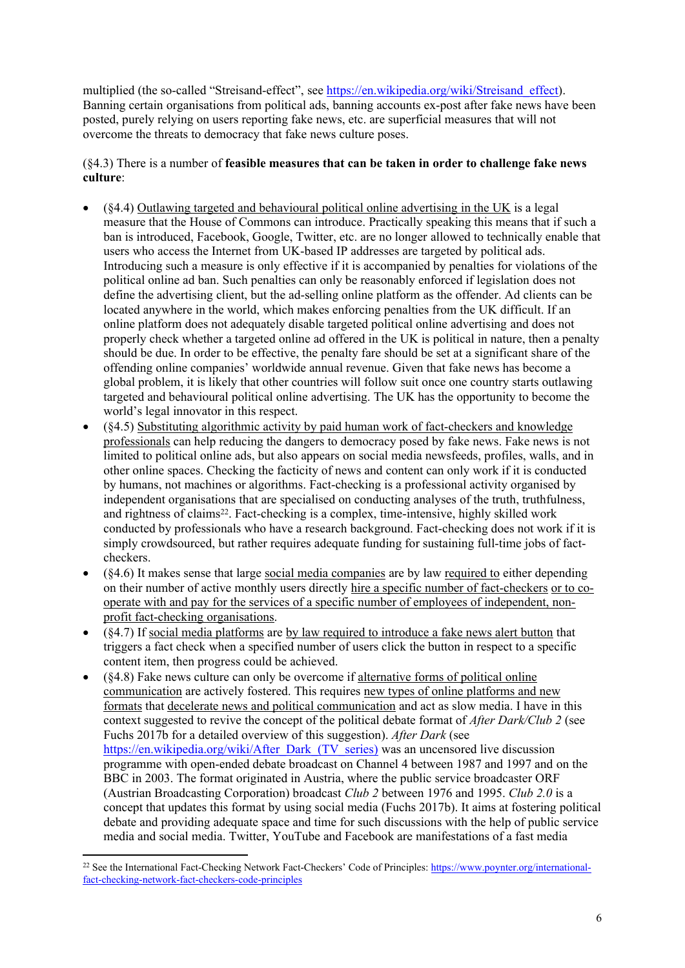multiplied (the so-called "Streisand-effect", see [https://en.wikipedia.org/wiki/Streisand\\_effect\)](https://en.wikipedia.org/wiki/Streisand_effect). Banning certain organisations from political ads, banning accounts ex-post after fake news have been posted, purely relying on users reporting fake news, etc. are superficial measures that will not overcome the threats to democracy that fake news culture poses.

# (§4.3) There is a number of **feasible measures that can be taken in order to challenge fake news culture**:

- (§4.4) Outlawing targeted and behavioural political online advertising in the UK is a legal measure that the House of Commons can introduce. Practically speaking this means that if such a ban is introduced, Facebook, Google, Twitter, etc. are no longer allowed to technically enable that users who access the Internet from UK-based IP addresses are targeted by political ads. Introducing such a measure is only effective if it is accompanied by penalties for violations of the political online ad ban. Such penalties can only be reasonably enforced if legislation does not define the advertising client, but the ad-selling online platform as the offender. Ad clients can be located anywhere in the world, which makes enforcing penalties from the UK difficult. If an online platform does not adequately disable targeted political online advertising and does not properly check whether a targeted online ad offered in the UK is political in nature, then a penalty should be due. In order to be effective, the penalty fare should be set at a significant share of the offending online companies' worldwide annual revenue. Given that fake news has become a global problem, it is likely that other countries will follow suit once one country starts outlawing targeted and behavioural political online advertising. The UK has the opportunity to become the world's legal innovator in this respect.
- (§4.5) Substituting algorithmic activity by paid human work of fact-checkers and knowledge professionals can help reducing the dangers to democracy posed by fake news. Fake news is not limited to political online ads, but also appears on social media newsfeeds, profiles, walls, and in other online spaces. Checking the facticity of news and content can only work if it is conducted by humans, not machines or algorithms. Fact-checking is a professional activity organised by independent organisations that are specialised on conducting analyses of the truth, truthfulness, and rightness of claims<sup>22</sup>. Fact-checking is a complex, time-intensive, highly skilled work conducted by professionals who have a research background. Fact-checking does not work if it is simply crowdsourced, but rather requires adequate funding for sustaining full-time jobs of factcheckers.
- (§4.6) It makes sense that large social media companies are by law required to either depending on their number of active monthly users directly hire a specific number of fact-checkers or to cooperate with and pay for the services of a specific number of employees of independent, nonprofit fact-checking organisations.
- (§4.7) If social media platforms are by law required to introduce a fake news alert button that triggers a fact check when a specified number of users click the button in respect to a specific content item, then progress could be achieved.
- (§4.8) Fake news culture can only be overcome if alternative forms of political online communication are actively fostered. This requires new types of online platforms and new formats that decelerate news and political communication and act as slow media. I have in this context suggested to revive the concept of the political debate format of *After Dark/Club 2* (see Fuchs 2017b for a detailed overview of this suggestion). *After Dark* (see https://en.wikipedia.org/wiki/After\_Dark (TV\_series) was an uncensored live discussion programme with open-ended debate broadcast on Channel 4 between 1987 and 1997 and on the BBC in 2003. The format originated in Austria, where the public service broadcaster ORF (Austrian Broadcasting Corporation) broadcast *Club 2* between 1976 and 1995. *Club 2.0* is a concept that updates this format by using social media (Fuchs 2017b). It aims at fostering political debate and providing adequate space and time for such discussions with the help of public service media and social media. Twitter, YouTube and Facebook are manifestations of a fast media

<sup>22</sup> See the International Fact-Checking Network Fact-Checkers' Code of Principles: [https://www.poynter.org/international](https://www.poynter.org/international-fact-checking-network-fact-checkers-code-principles)[fact-checking-network-fact-checkers-code-principles](https://www.poynter.org/international-fact-checking-network-fact-checkers-code-principles)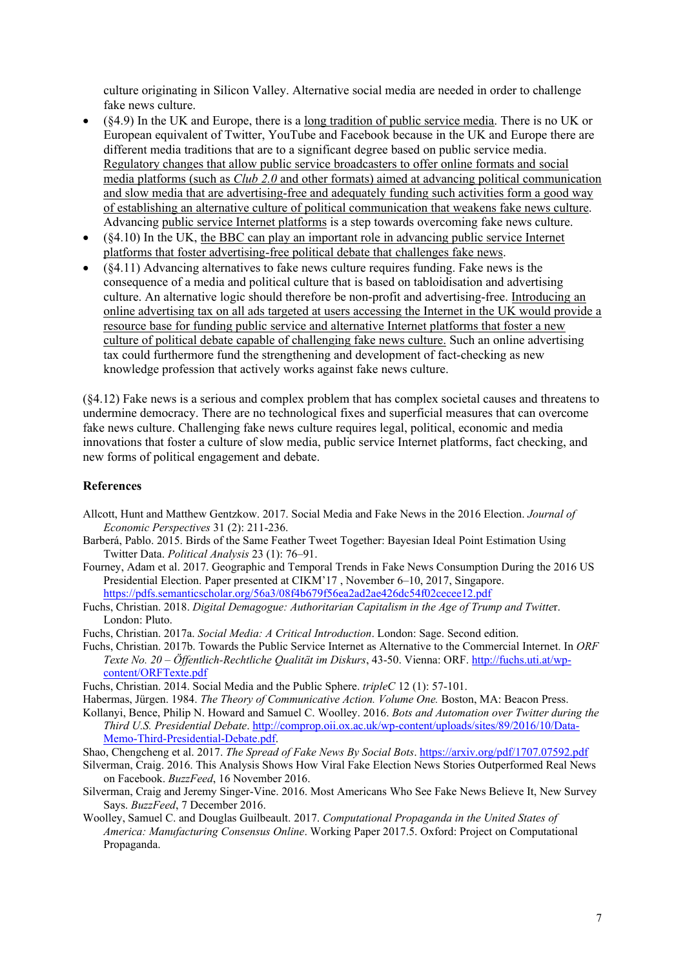culture originating in Silicon Valley. Alternative social media are needed in order to challenge fake news culture.

- (§4.9) In the UK and Europe, there is a long tradition of public service media. There is no UK or European equivalent of Twitter, YouTube and Facebook because in the UK and Europe there are different media traditions that are to a significant degree based on public service media. Regulatory changes that allow public service broadcasters to offer online formats and social media platforms (such as *Club 2.0* and other formats) aimed at advancing political communication and slow media that are advertising-free and adequately funding such activities form a good way of establishing an alternative culture of political communication that weakens fake news culture. Advancing public service Internet platforms is a step towards overcoming fake news culture.
- (§4.10) In the UK, the BBC can play an important role in advancing public service Internet platforms that foster advertising-free political debate that challenges fake news.
- (§4.11) Advancing alternatives to fake news culture requires funding. Fake news is the consequence of a media and political culture that is based on tabloidisation and advertising culture. An alternative logic should therefore be non-profit and advertising-free. Introducing an online advertising tax on all ads targeted at users accessing the Internet in the UK would provide a resource base for funding public service and alternative Internet platforms that foster a new culture of political debate capable of challenging fake news culture. Such an online advertising tax could furthermore fund the strengthening and development of fact-checking as new knowledge profession that actively works against fake news culture.

(§4.12) Fake news is a serious and complex problem that has complex societal causes and threatens to undermine democracy. There are no technological fixes and superficial measures that can overcome fake news culture. Challenging fake news culture requires legal, political, economic and media innovations that foster a culture of slow media, public service Internet platforms, fact checking, and new forms of political engagement and debate.

#### **References**

- Allcott, Hunt and Matthew Gentzkow. 2017. Social Media and Fake News in the 2016 Election. *Journal of Economic Perspectives* 31 (2): 211-236.
- Barberá, Pablo. 2015. Birds of the Same Feather Tweet Together: Bayesian Ideal Point Estimation Using Twitter Data. *Political Analysis* 23 (1): 76–91.
- Fourney, Adam et al. 2017. Geographic and Temporal Trends in Fake News Consumption During the 2016 US Presidential Election. Paper presented at CIKM'17 , November 6–10, 2017, Singapore. <https://pdfs.semanticscholar.org/56a3/08f4b679f56ea2ad2ae426dc54f02cecee12.pdf>
- Fuchs, Christian. 2018. *Digital Demagogue: Authoritarian Capitalism in the Age of Trump and Twitte*r. London: Pluto.
- Fuchs, Christian. 2017a. *Social Media: A Critical Introduction*. London: Sage. Second edition.
- Fuchs, Christian. 2017b. Towards the Public Service Internet as Alternative to the Commercial Internet. In *ORF Texte No. 20 – Öffentlich-Rechtliche Qualität im Diskurs*, 43-50. Vienna: ORF. [http://fuchs.uti.at/wp](http://fuchs.uti.at/wp-content/ORFTexte.pdf)[content/ORFTexte.pdf](http://fuchs.uti.at/wp-content/ORFTexte.pdf)
- Fuchs, Christian. 2014. Social Media and the Public Sphere. *tripleC* 12 (1): 57-101.

Habermas, Jürgen. 1984. *The Theory of Communicative Action. Volume One.* Boston, MA: Beacon Press.

- Kollanyi, Bence, Philip N. Howard and Samuel C. Woolley. 2016. *Bots and Automation over Twitter during the Third U.S. Presidential Debate*. [http://comprop.oii.ox.ac.uk/wp-content/uploads/sites/89/2016/10/Data-](http://comprop.oii.ox.ac.uk/wp-content/uploads/sites/89/2016/10/Data-Memo-Third-Presidential-Debate.pdf)[Memo-Third-Presidential-Debate.pdf.](http://comprop.oii.ox.ac.uk/wp-content/uploads/sites/89/2016/10/Data-Memo-Third-Presidential-Debate.pdf)
- Shao, Chengcheng et al. 2017. *The Spread of Fake News By Social Bots*. <https://arxiv.org/pdf/1707.07592.pdf>
- Silverman, Craig. 2016. This Analysis Shows How Viral Fake Election News Stories Outperformed Real News on Facebook. *BuzzFeed*, 16 November 2016.
- Silverman, Craig and Jeremy Singer-Vine. 2016. Most Americans Who See Fake News Believe It, New Survey Says. *BuzzFeed*, 7 December 2016.
- Woolley, Samuel C. and Douglas Guilbeault. 2017. *Computational Propaganda in the United States of America: Manufacturing Consensus Online*. Working Paper 2017.5. Oxford: Project on Computational Propaganda.